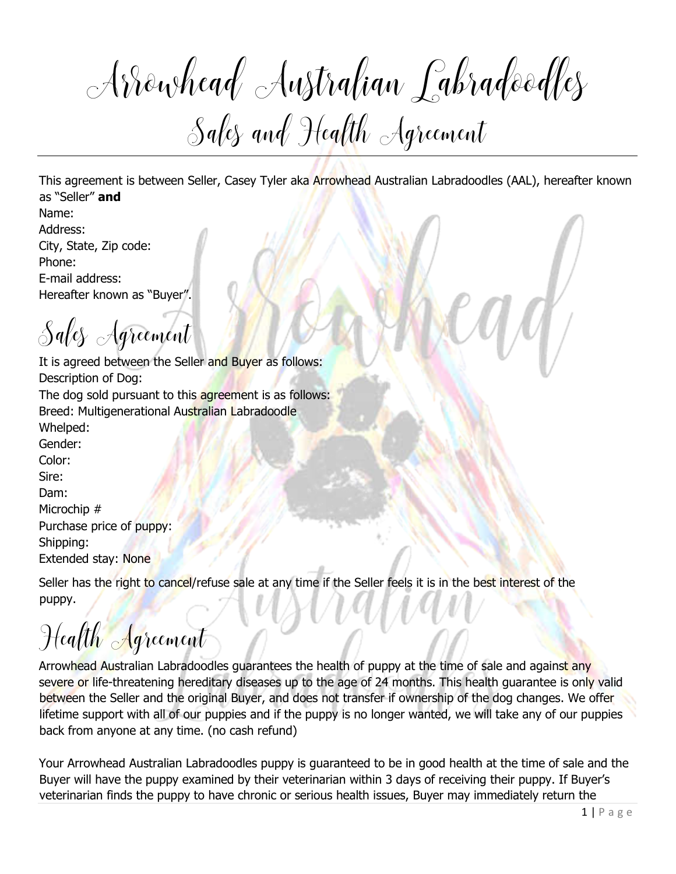Aowhead Australian Labradoodles Sales and Health Agreement

This agreement is between Seller, Casey Tyler aka Arrowhead Australian Labradoodles (AAL), hereafter known as "Seller" **and**

Name: Address: City, State, Zip code: Phone: E-mail address: Hereafter known as "Buyer".

Sales Agreement

It is agreed between the Seller and Buyer as follows: Description of Dog:

The dog sold pursuant to this agreement is as follows: Breed: Multigenerational Australian Labradoodle Whelped: Gender:

Color: Sire: Dam: Microchip # Purchase price of puppy: Shipping: Extended stay: None

Seller has the right to cancel/refuse sale at any time if the Seller feels it is in the best interest of the puppy.

## Health Agreement

Arrowhead Australian Labradoodles guarantees the health of puppy at the time of sale and against any severe or life-threatening hereditary diseases up to the age of 24 months. This health guarantee is only valid between the Seller and the original Buyer, and does not transfer if ownership of the dog changes. We offer lifetime support with all of our puppies and if the puppy is no longer wanted, we will take any of our puppies back from anyone at any time. (no cash refund)

Your Arrowhead Australian Labradoodles puppy is guaranteed to be in good health at the time of sale and the Buyer will have the puppy examined by their veterinarian within 3 days of receiving their puppy. If Buyer's veterinarian finds the puppy to have chronic or serious health issues, Buyer may immediately return the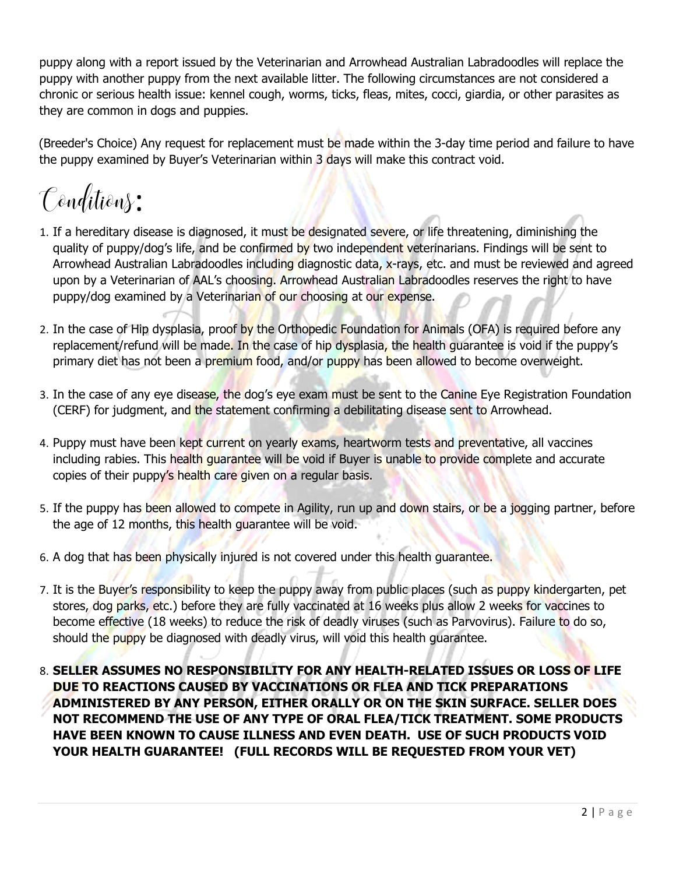puppy along with a report issued by the Veterinarian and Arrowhead Australian Labradoodles will replace the puppy with another puppy from the next available litter. The following circumstances are not considered a chronic or serious health issue: kennel cough, worms, ticks, fleas, mites, cocci, giardia, or other parasites as they are common in dogs and puppies.

(Breeder's Choice) Any request for replacement must be made within the 3-day time period and failure to have the puppy examined by Buyer's Veterinarian within 3 days will make this contract void.

Conditions:

- 1. If a hereditary disease is diagnosed, it must be designated severe, or life threatening, diminishing the quality of puppy/dog's life, and be confirmed by two independent veterinarians. Findings will be sent to Arrowhead Australian Labradoodles including diagnostic data, x-rays, etc. and must be reviewed and agreed upon by a Veterinarian of AAL's choosing. Arrowhead Australian Labradoodles reserves the right to have puppy/dog examined by a Veterinarian of our choosing at our expense.
- 2. In the case of Hip dysplasia, proof by the Orthopedic Foundation for Animals (OFA) is required before any replacement/refund will be made. In the case of hip dysplasia, the health guarantee is void if the puppy's primary diet has not been a premium food, and/or puppy has been allowed to become overweight.
- 3. In the case of any eye disease, the dog's eye exam must be sent to the Canine Eye Registration Foundation (CERF) for judgment, and the statement confirming a debilitating disease sent to Arrowhead.
- 4. Puppy must have been kept current on yearly exams, heartworm tests and preventative, all vaccines including rabies. This health guarantee will be void if Buyer is unable to provide complete and accurate copies of their puppy's health care given on a regular basis.
- 5. If the puppy has been allowed to compete in Agility, run up and down stairs, or be a jogging partner, before the age of 12 months, this health guarantee will be void.
- 6. A dog that has been physically injured is not covered under this health guarantee.
- 7. It is the Buyer's responsibility to keep the puppy away from public places (such as puppy kindergarten, pet stores, dog parks, etc.) before they are fully vaccinated at 16 weeks plus allow 2 weeks for vaccines to become effective (18 weeks) to reduce the risk of deadly viruses (such as Parvovirus). Failure to do so, should the puppy be diagnosed with deadly virus, will void this health guarantee.
- 8. **SELLER ASSUMES NO RESPONSIBILITY FOR ANY HEALTH-RELATED ISSUES OR LOSS OF LIFE DUE TO REACTIONS CAUSED BY VACCINATIONS OR FLEA AND TICK PREPARATIONS ADMINISTERED BY ANY PERSON, EITHER ORALLY OR ON THE SKIN SURFACE. SELLER DOES NOT RECOMMEND THE USE OF ANY TYPE OF ORAL FLEA/TICK TREATMENT. SOME PRODUCTS HAVE BEEN KNOWN TO CAUSE ILLNESS AND EVEN DEATH. USE OF SUCH PRODUCTS VOID YOUR HEALTH GUARANTEE! (FULL RECORDS WILL BE REQUESTED FROM YOUR VET)**